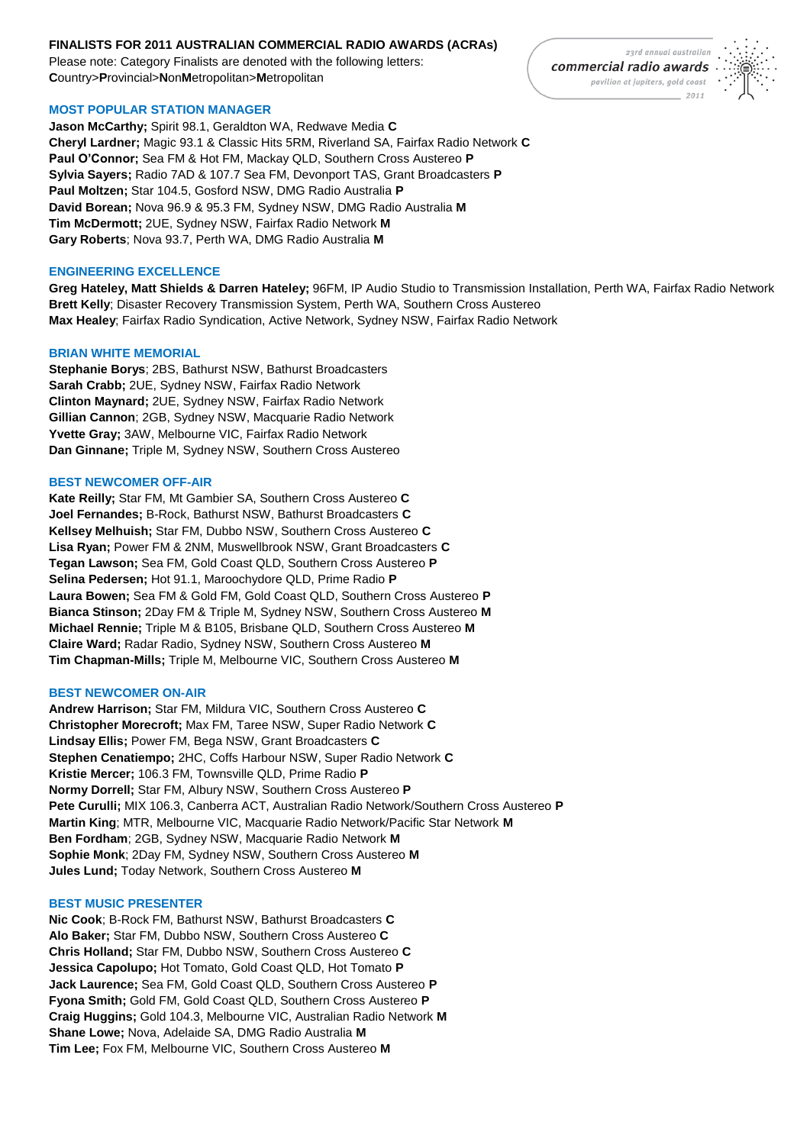# **FINALISTS FOR 2011 AUSTRALIAN COMMERCIAL RADIO AWARDS (ACRAs)**

Please note: Category Finalists are denoted with the following letters: **C**ountry>**P**rovincial>**N**on**M**etropolitan>**M**etropolitan

# **MOST POPULAR STATION MANAGER**

**Jason McCarthy;** Spirit 98.1, Geraldton WA, Redwave Media **C Cheryl Lardner;** Magic 93.1 & Classic Hits 5RM, Riverland SA, Fairfax Radio Network **C Paul O'Connor;** Sea FM & Hot FM, Mackay QLD, Southern Cross Austereo **P Sylvia Sayers;** Radio 7AD & 107.7 Sea FM, Devonport TAS, Grant Broadcasters **P Paul Moltzen;** Star 104.5, Gosford NSW, DMG Radio Australia **P David Borean;** Nova 96.9 & 95.3 FM, Sydney NSW, DMG Radio Australia **M Tim McDermott;** 2UE, Sydney NSW, Fairfax Radio Network **M Gary Roberts**; Nova 93.7, Perth WA, DMG Radio Australia **M**

## **ENGINEERING EXCELLENCE**

**Greg Hateley, Matt Shields & Darren Hateley;** 96FM, IP Audio Studio to Transmission Installation, Perth WA, Fairfax Radio Network **Brett Kelly**; Disaster Recovery Transmission System, Perth WA, Southern Cross Austereo **Max Healey**; Fairfax Radio Syndication, Active Network, Sydney NSW, Fairfax Radio Network

# **BRIAN WHITE MEMORIAL**

**Stephanie Borys**; 2BS, Bathurst NSW, Bathurst Broadcasters **Sarah Crabb;** 2UE, Sydney NSW, Fairfax Radio Network **Clinton Maynard;** 2UE, Sydney NSW, Fairfax Radio Network **Gillian Cannon**; 2GB, Sydney NSW, Macquarie Radio Network **Yvette Gray;** 3AW, Melbourne VIC, Fairfax Radio Network **Dan Ginnane;** Triple M, Sydney NSW, Southern Cross Austereo

# **BEST NEWCOMER OFF-AIR**

**Kate Reilly;** Star FM, Mt Gambier SA, Southern Cross Austereo **C Joel Fernandes;** B-Rock, Bathurst NSW, Bathurst Broadcasters **C Kellsey Melhuish;** Star FM, Dubbo NSW, Southern Cross Austereo **C Lisa Ryan;** Power FM & 2NM, Muswellbrook NSW, Grant Broadcasters **C Tegan Lawson;** Sea FM, Gold Coast QLD, Southern Cross Austereo **P Selina Pedersen;** Hot 91.1, Maroochydore QLD, Prime Radio **P Laura Bowen;** Sea FM & Gold FM, Gold Coast QLD, Southern Cross Austereo **P Bianca Stinson;** 2Day FM & Triple M, Sydney NSW, Southern Cross Austereo **M Michael Rennie;** Triple M & B105, Brisbane QLD, Southern Cross Austereo **M Claire Ward;** Radar Radio, Sydney NSW, Southern Cross Austereo **M Tim Chapman-Mills;** Triple M, Melbourne VIC, Southern Cross Austereo **M**

### **BEST NEWCOMER ON-AIR**

**Andrew Harrison;** Star FM, Mildura VIC, Southern Cross Austereo **C Christopher Morecroft;** Max FM, Taree NSW, Super Radio Network **C Lindsay Ellis;** Power FM, Bega NSW, Grant Broadcasters **C Stephen Cenatiempo;** 2HC, Coffs Harbour NSW, Super Radio Network **C Kristie Mercer;** 106.3 FM, Townsville QLD, Prime Radio **P Normy Dorrell;** Star FM, Albury NSW, Southern Cross Austereo **P Pete Curulli;** MIX 106.3, Canberra ACT, Australian Radio Network/Southern Cross Austereo **P Martin King**; MTR, Melbourne VIC, Macquarie Radio Network/Pacific Star Network **M Ben Fordham**; 2GB, Sydney NSW, Macquarie Radio Network **M Sophie Monk**; 2Day FM, Sydney NSW, Southern Cross Austereo **M Jules Lund;** Today Network, Southern Cross Austereo **M**

# **BEST MUSIC PRESENTER**

**Nic Cook**; B-Rock FM, Bathurst NSW, Bathurst Broadcasters **C Alo Baker;** Star FM, Dubbo NSW, Southern Cross Austereo **C Chris Holland;** Star FM, Dubbo NSW, Southern Cross Austereo **C Jessica Capolupo;** Hot Tomato, Gold Coast QLD, Hot Tomato **P Jack Laurence;** Sea FM, Gold Coast QLD, Southern Cross Austereo **P Fyona Smith;** Gold FM, Gold Coast QLD, Southern Cross Austereo **P Craig Huggins;** Gold 104.3, Melbourne VIC, Australian Radio Network **M Shane Lowe;** Nova, Adelaide SA, DMG Radio Australia **M Tim Lee;** Fox FM, Melbourne VIC, Southern Cross Austereo **M**

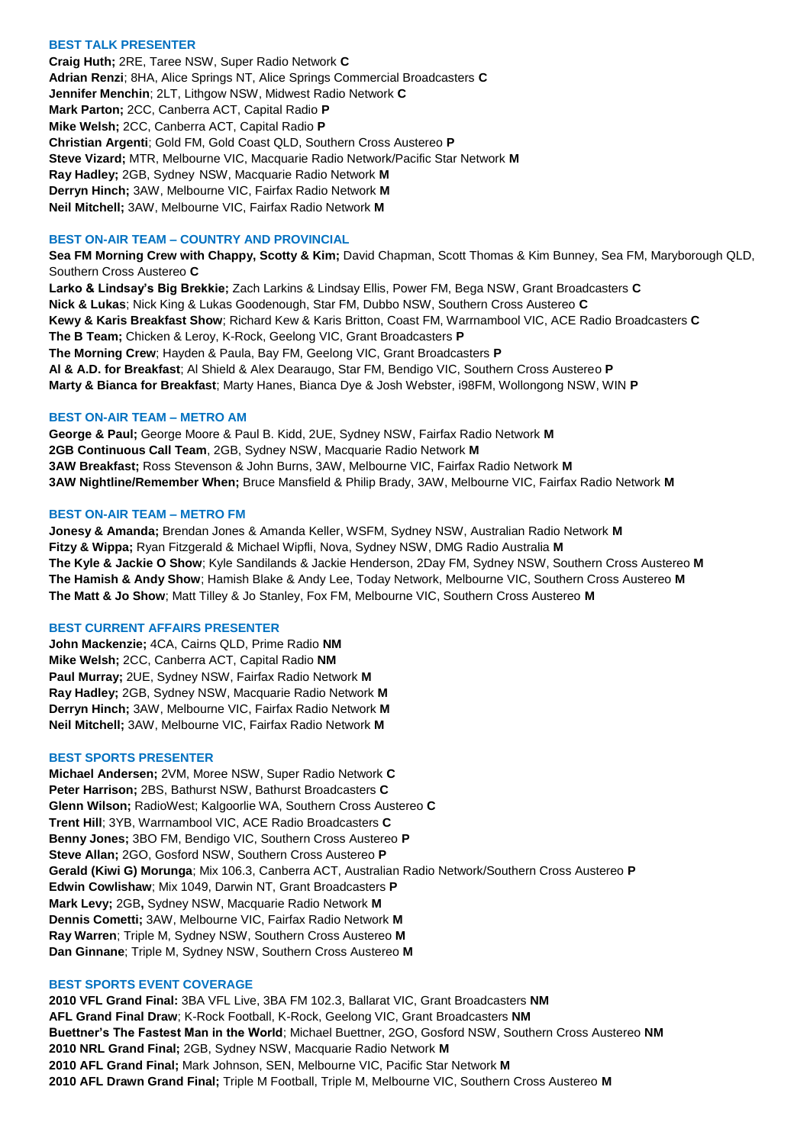## **BEST TALK PRESENTER**

**Craig Huth;** 2RE, Taree NSW, Super Radio Network **C Adrian Renzi**; 8HA, Alice Springs NT, Alice Springs Commercial Broadcasters **C Jennifer Menchin**; 2LT, Lithgow NSW, Midwest Radio Network **C Mark Parton;** 2CC, Canberra ACT, Capital Radio **P Mike Welsh;** 2CC, Canberra ACT, Capital Radio **P Christian Argenti**; Gold FM, Gold Coast QLD, Southern Cross Austereo **P Steve Vizard;** MTR, Melbourne VIC, Macquarie Radio Network/Pacific Star Network **M Ray Hadley;** 2GB, Sydney NSW, Macquarie Radio Network **M Derryn Hinch;** 3AW, Melbourne VIC, Fairfax Radio Network **M Neil Mitchell;** 3AW, Melbourne VIC, Fairfax Radio Network **M**

# **BEST ON-AIR TEAM – COUNTRY AND PROVINCIAL**

**Sea FM Morning Crew with Chappy, Scotty & Kim;** David Chapman, Scott Thomas & Kim Bunney, Sea FM, Maryborough QLD, Southern Cross Austereo **C Larko & Lindsay's Big Brekkie;** Zach Larkins & Lindsay Ellis, Power FM, Bega NSW, Grant Broadcasters **C Nick & Lukas**; Nick King & Lukas Goodenough, Star FM, Dubbo NSW, Southern Cross Austereo **C Kewy & Karis Breakfast Show**; Richard Kew & Karis Britton, Coast FM, Warrnambool VIC, ACE Radio Broadcasters **C The B Team;** Chicken & Leroy, K-Rock, Geelong VIC, Grant Broadcasters **P The Morning Crew**; Hayden & Paula, Bay FM, Geelong VIC, Grant Broadcasters **P Al & A.D. for Breakfast**; Al Shield & Alex Dearaugo, Star FM, Bendigo VIC, Southern Cross Austereo **P Marty & Bianca for Breakfast**; Marty Hanes, Bianca Dye & Josh Webster, i98FM, Wollongong NSW, WIN **P**

# **BEST ON-AIR TEAM – METRO AM**

**George & Paul;** George Moore & Paul B. Kidd, 2UE, Sydney NSW, Fairfax Radio Network **M 2GB Continuous Call Team**, 2GB, Sydney NSW, Macquarie Radio Network **M 3AW Breakfast;** Ross Stevenson & John Burns, 3AW, Melbourne VIC, Fairfax Radio Network **M 3AW Nightline/Remember When;** Bruce Mansfield & Philip Brady, 3AW, Melbourne VIC, Fairfax Radio Network **M**

# **BEST ON-AIR TEAM – METRO FM**

**Jonesy & Amanda;** Brendan Jones & Amanda Keller, WSFM, Sydney NSW, Australian Radio Network **M Fitzy & Wippa;** Ryan Fitzgerald & Michael Wipfli, Nova, Sydney NSW, DMG Radio Australia **M The Kyle & Jackie O Show**; Kyle Sandilands & Jackie Henderson, 2Day FM, Sydney NSW, Southern Cross Austereo **M The Hamish & Andy Show**; Hamish Blake & Andy Lee, Today Network, Melbourne VIC, Southern Cross Austereo **M The Matt & Jo Show**; Matt Tilley & Jo Stanley, Fox FM, Melbourne VIC, Southern Cross Austereo **M**

### **BEST CURRENT AFFAIRS PRESENTER**

**John Mackenzie;** 4CA, Cairns QLD, Prime Radio **NM Mike Welsh;** 2CC, Canberra ACT, Capital Radio **NM Paul Murray;** 2UE, Sydney NSW, Fairfax Radio Network **M Ray Hadley;** 2GB, Sydney NSW, Macquarie Radio Network **M Derryn Hinch;** 3AW, Melbourne VIC, Fairfax Radio Network **M Neil Mitchell;** 3AW, Melbourne VIC, Fairfax Radio Network **M**

### **BEST SPORTS PRESENTER**

**Michael Andersen;** 2VM, Moree NSW, Super Radio Network **C Peter Harrison;** 2BS, Bathurst NSW, Bathurst Broadcasters **C Glenn Wilson;** RadioWest; Kalgoorlie WA, Southern Cross Austereo **C Trent Hill**; 3YB, Warrnambool VIC, ACE Radio Broadcasters **C Benny Jones;** 3BO FM, Bendigo VIC, Southern Cross Austereo **P Steve Allan;** 2GO, Gosford NSW, Southern Cross Austereo **P Gerald (Kiwi G) Morunga**; Mix 106.3, Canberra ACT, Australian Radio Network/Southern Cross Austereo **P Edwin Cowlishaw**; Mix 1049, Darwin NT, Grant Broadcasters **P Mark Levy;** 2GB**,** Sydney NSW, Macquarie Radio Network **M Dennis Cometti;** 3AW, Melbourne VIC, Fairfax Radio Network **M Ray Warren**; Triple M, Sydney NSW, Southern Cross Austereo **M Dan Ginnane**; Triple M, Sydney NSW, Southern Cross Austereo **M**

### **BEST SPORTS EVENT COVERAGE**

**2010 VFL Grand Final:** 3BA VFL Live, 3BA FM 102.3, Ballarat VIC, Grant Broadcasters **NM AFL Grand Final Draw**; K-Rock Football, K-Rock, Geelong VIC, Grant Broadcasters **NM Buettner's The Fastest Man in the World**; Michael Buettner, 2GO, Gosford NSW, Southern Cross Austereo **NM 2010 NRL Grand Final;** 2GB, Sydney NSW, Macquarie Radio Network **M 2010 AFL Grand Final;** Mark Johnson, SEN, Melbourne VIC, Pacific Star Network **M 2010 AFL Drawn Grand Final;** Triple M Football, Triple M, Melbourne VIC, Southern Cross Austereo **M**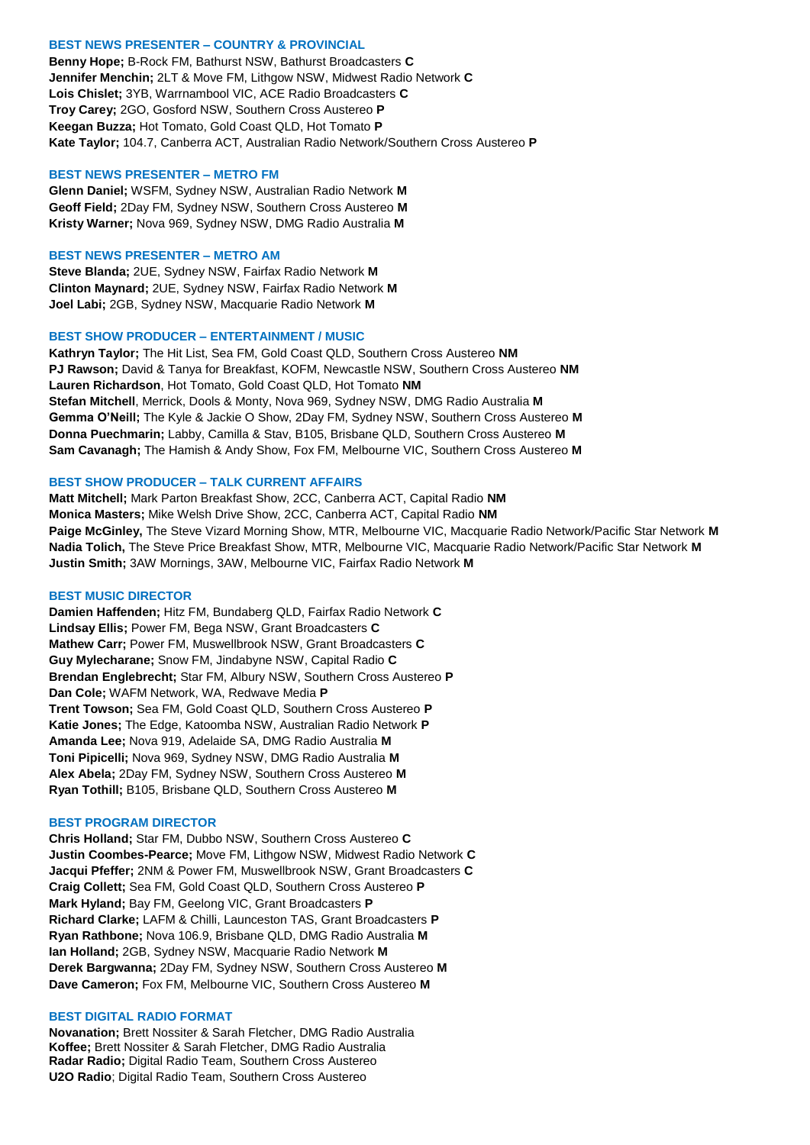### **BEST NEWS PRESENTER – COUNTRY & PROVINCIAL**

**Benny Hope;** B-Rock FM, Bathurst NSW, Bathurst Broadcasters **C Jennifer Menchin;** 2LT & Move FM, Lithgow NSW, Midwest Radio Network **C Lois Chislet;** 3YB, Warrnambool VIC, ACE Radio Broadcasters **C Troy Carey;** 2GO, Gosford NSW, Southern Cross Austereo **P Keegan Buzza;** Hot Tomato, Gold Coast QLD, Hot Tomato **P Kate Taylor;** 104.7, Canberra ACT, Australian Radio Network/Southern Cross Austereo **P**

#### **BEST NEWS PRESENTER – METRO FM**

**Glenn Daniel;** WSFM, Sydney NSW, Australian Radio Network **M Geoff Field;** 2Day FM, Sydney NSW, Southern Cross Austereo **M Kristy Warner;** Nova 969, Sydney NSW, DMG Radio Australia **M**

#### **BEST NEWS PRESENTER – METRO AM**

**Steve Blanda;** 2UE, Sydney NSW, Fairfax Radio Network **M Clinton Maynard;** 2UE, Sydney NSW, Fairfax Radio Network **M Joel Labi;** 2GB, Sydney NSW, Macquarie Radio Network **M**

# **BEST SHOW PRODUCER – ENTERTAINMENT / MUSIC**

**Kathryn Taylor;** The Hit List, Sea FM, Gold Coast QLD, Southern Cross Austereo **NM PJ Rawson;** David & Tanya for Breakfast, KOFM, Newcastle NSW, Southern Cross Austereo **NM Lauren Richardson**, Hot Tomato, Gold Coast QLD, Hot Tomato **NM Stefan Mitchell**, Merrick, Dools & Monty, Nova 969, Sydney NSW, DMG Radio Australia **M Gemma O'Neill;** The Kyle & Jackie O Show, 2Day FM, Sydney NSW, Southern Cross Austereo **M Donna Puechmarin;** Labby, Camilla & Stav, B105, Brisbane QLD, Southern Cross Austereo **M Sam Cavanagh;** The Hamish & Andy Show, Fox FM, Melbourne VIC, Southern Cross Austereo **M**

## **BEST SHOW PRODUCER – TALK CURRENT AFFAIRS**

**Matt Mitchell;** Mark Parton Breakfast Show, 2CC, Canberra ACT, Capital Radio **NM Monica Masters;** Mike Welsh Drive Show, 2CC, Canberra ACT, Capital Radio **NM Paige McGinley,** The Steve Vizard Morning Show, MTR, Melbourne VIC, Macquarie Radio Network/Pacific Star Network **M Nadia Tolich,** The Steve Price Breakfast Show, MTR, Melbourne VIC, Macquarie Radio Network/Pacific Star Network **M Justin Smith;** 3AW Mornings, 3AW, Melbourne VIC, Fairfax Radio Network **M**

#### **BEST MUSIC DIRECTOR**

**Damien Haffenden;** Hitz FM, Bundaberg QLD, Fairfax Radio Network **C Lindsay Ellis;** Power FM, Bega NSW, Grant Broadcasters **C Mathew Carr;** Power FM, Muswellbrook NSW, Grant Broadcasters **C Guy Mylecharane;** Snow FM, Jindabyne NSW, Capital Radio **C Brendan Englebrecht;** Star FM, Albury NSW, Southern Cross Austereo **P Dan Cole;** WAFM Network, WA, Redwave Media **P Trent Towson;** Sea FM, Gold Coast QLD, Southern Cross Austereo **P Katie Jones;** The Edge, Katoomba NSW, Australian Radio Network **P Amanda Lee;** Nova 919, Adelaide SA, DMG Radio Australia **M Toni Pipicelli;** Nova 969, Sydney NSW, DMG Radio Australia **M Alex Abela;** 2Day FM, Sydney NSW, Southern Cross Austereo **M Ryan Tothill;** B105, Brisbane QLD, Southern Cross Austereo **M**

#### **BEST PROGRAM DIRECTOR**

**Chris Holland;** Star FM, Dubbo NSW, Southern Cross Austereo **C Justin Coombes-Pearce;** Move FM, Lithgow NSW, Midwest Radio Network **C Jacqui Pfeffer;** 2NM & Power FM, Muswellbrook NSW, Grant Broadcasters **C Craig Collett;** Sea FM, Gold Coast QLD, Southern Cross Austereo **P Mark Hyland;** Bay FM, Geelong VIC, Grant Broadcasters **P Richard Clarke;** LAFM & Chilli, Launceston TAS, Grant Broadcasters **P Ryan Rathbone;** Nova 106.9, Brisbane QLD, DMG Radio Australia **M Ian Holland;** 2GB, Sydney NSW, Macquarie Radio Network **M Derek Bargwanna;** 2Day FM, Sydney NSW, Southern Cross Austereo **M Dave Cameron;** Fox FM, Melbourne VIC, Southern Cross Austereo **M**

#### **BEST DIGITAL RADIO FORMAT**

**Novanation;** Brett Nossiter & Sarah Fletcher, DMG Radio Australia **Koffee;** Brett Nossiter & Sarah Fletcher, DMG Radio Australia **Radar Radio;** Digital Radio Team, Southern Cross Austereo **U2O Radio**; Digital Radio Team, Southern Cross Austereo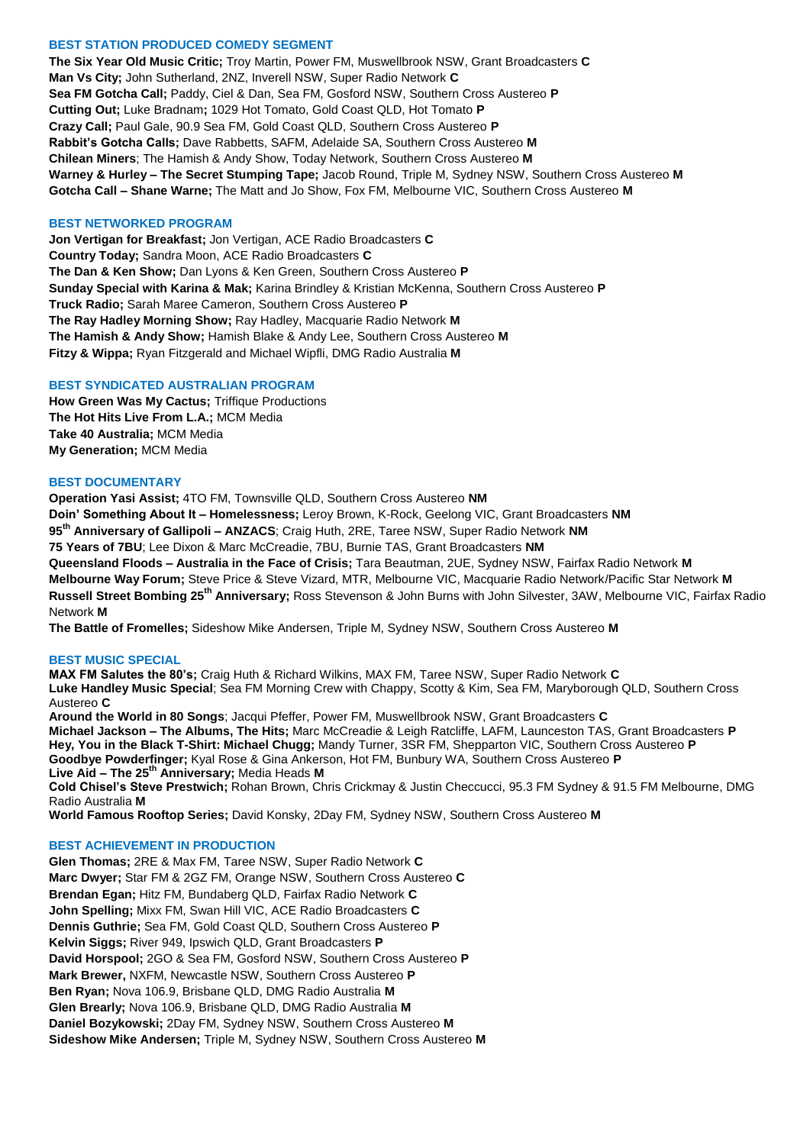## **BEST STATION PRODUCED COMEDY SEGMENT**

**The Six Year Old Music Critic;** Troy Martin, Power FM, Muswellbrook NSW, Grant Broadcasters **C Man Vs City;** John Sutherland, 2NZ, Inverell NSW, Super Radio Network **C Sea FM Gotcha Call;** Paddy, Ciel & Dan, Sea FM, Gosford NSW, Southern Cross Austereo **P Cutting Out;** Luke Bradnam**;** 1029 Hot Tomato, Gold Coast QLD, Hot Tomato **P Crazy Call;** Paul Gale, 90.9 Sea FM, Gold Coast QLD, Southern Cross Austereo **P Rabbit's Gotcha Calls;** Dave Rabbetts, SAFM, Adelaide SA, Southern Cross Austereo **M Chilean Miners**; The Hamish & Andy Show, Today Network, Southern Cross Austereo **M Warney & Hurley – The Secret Stumping Tape;** Jacob Round, Triple M, Sydney NSW, Southern Cross Austereo **M Gotcha Call – Shane Warne;** The Matt and Jo Show, Fox FM, Melbourne VIC, Southern Cross Austereo **M**

## **BEST NETWORKED PROGRAM**

**Jon Vertigan for Breakfast;** Jon Vertigan, ACE Radio Broadcasters **C Country Today;** Sandra Moon, ACE Radio Broadcasters **C The Dan & Ken Show;** Dan Lyons & Ken Green, Southern Cross Austereo **P Sunday Special with Karina & Mak;** Karina Brindley & Kristian McKenna, Southern Cross Austereo **P Truck Radio;** Sarah Maree Cameron, Southern Cross Austereo **P The Ray Hadley Morning Show;** Ray Hadley, Macquarie Radio Network **M The Hamish & Andy Show;** Hamish Blake & Andy Lee, Southern Cross Austereo **M Fitzy & Wippa;** Ryan Fitzgerald and Michael Wipfli, DMG Radio Australia **M**

# **BEST SYNDICATED AUSTRALIAN PROGRAM**

**How Green Was My Cactus;** Triffique Productions **The Hot Hits Live From L.A.;** MCM Media **Take 40 Australia;** MCM Media **My Generation;** MCM Media

# **BEST DOCUMENTARY**

**Operation Yasi Assist;** 4TO FM, Townsville QLD, Southern Cross Austereo **NM Doin' Something About It – Homelessness;** Leroy Brown, K-Rock, Geelong VIC, Grant Broadcasters **NM 95th Anniversary of Gallipoli – ANZACS**; Craig Huth, 2RE, Taree NSW, Super Radio Network **NM 75 Years of 7BU**; Lee Dixon & Marc McCreadie, 7BU, Burnie TAS, Grant Broadcasters **NM Queensland Floods – Australia in the Face of Crisis;** Tara Beautman, 2UE, Sydney NSW, Fairfax Radio Network **M Melbourne Way Forum;** Steve Price & Steve Vizard, MTR, Melbourne VIC, Macquarie Radio Network/Pacific Star Network **M Russell Street Bombing 25th Anniversary;** Ross Stevenson & John Burns with John Silvester, 3AW, Melbourne VIC, Fairfax Radio Network **M**

**The Battle of Fromelles;** Sideshow Mike Andersen, Triple M, Sydney NSW, Southern Cross Austereo **M**

### **BEST MUSIC SPECIAL**

**MAX FM Salutes the 80's;** Craig Huth & Richard Wilkins, MAX FM, Taree NSW, Super Radio Network **C Luke Handley Music Special**; Sea FM Morning Crew with Chappy, Scotty & Kim, Sea FM, Maryborough QLD, Southern Cross Austereo **C Around the World in 80 Songs**; Jacqui Pfeffer, Power FM, Muswellbrook NSW, Grant Broadcasters **C Michael Jackson – The Albums, The Hits;** Marc McCreadie & Leigh Ratcliffe, LAFM, Launceston TAS, Grant Broadcasters **P Hey, You in the Black T-Shirt: Michael Chugg;** Mandy Turner, 3SR FM, Shepparton VIC, Southern Cross Austereo **P Goodbye Powderfinger;** Kyal Rose & Gina Ankerson, Hot FM, Bunbury WA, Southern Cross Austereo **P Live Aid – The 25th Anniversary;** Media Heads **M Cold Chisel's Steve Prestwich;** Rohan Brown, Chris Crickmay & Justin Checcucci, 95.3 FM Sydney & 91.5 FM Melbourne, DMG Radio Australia **M**

**World Famous Rooftop Series;** David Konsky, 2Day FM, Sydney NSW, Southern Cross Austereo **M**

### **BEST ACHIEVEMENT IN PRODUCTION**

**Glen Thomas;** 2RE & Max FM, Taree NSW, Super Radio Network **C Marc Dwyer;** Star FM & 2GZ FM, Orange NSW, Southern Cross Austereo **C Brendan Egan;** Hitz FM, Bundaberg QLD, Fairfax Radio Network **C John Spelling;** Mixx FM, Swan Hill VIC, ACE Radio Broadcasters **C Dennis Guthrie;** Sea FM, Gold Coast QLD, Southern Cross Austereo **P Kelvin Siggs;** River 949, Ipswich QLD, Grant Broadcasters **P David Horspool;** 2GO & Sea FM, Gosford NSW, Southern Cross Austereo **P Mark Brewer,** NXFM, Newcastle NSW, Southern Cross Austereo **P Ben Ryan;** Nova 106.9, Brisbane QLD, DMG Radio Australia **M Glen Brearly;** Nova 106.9, Brisbane QLD, DMG Radio Australia **M Daniel Bozykowski;** 2Day FM, Sydney NSW, Southern Cross Austereo **M Sideshow Mike Andersen;** Triple M, Sydney NSW, Southern Cross Austereo **M**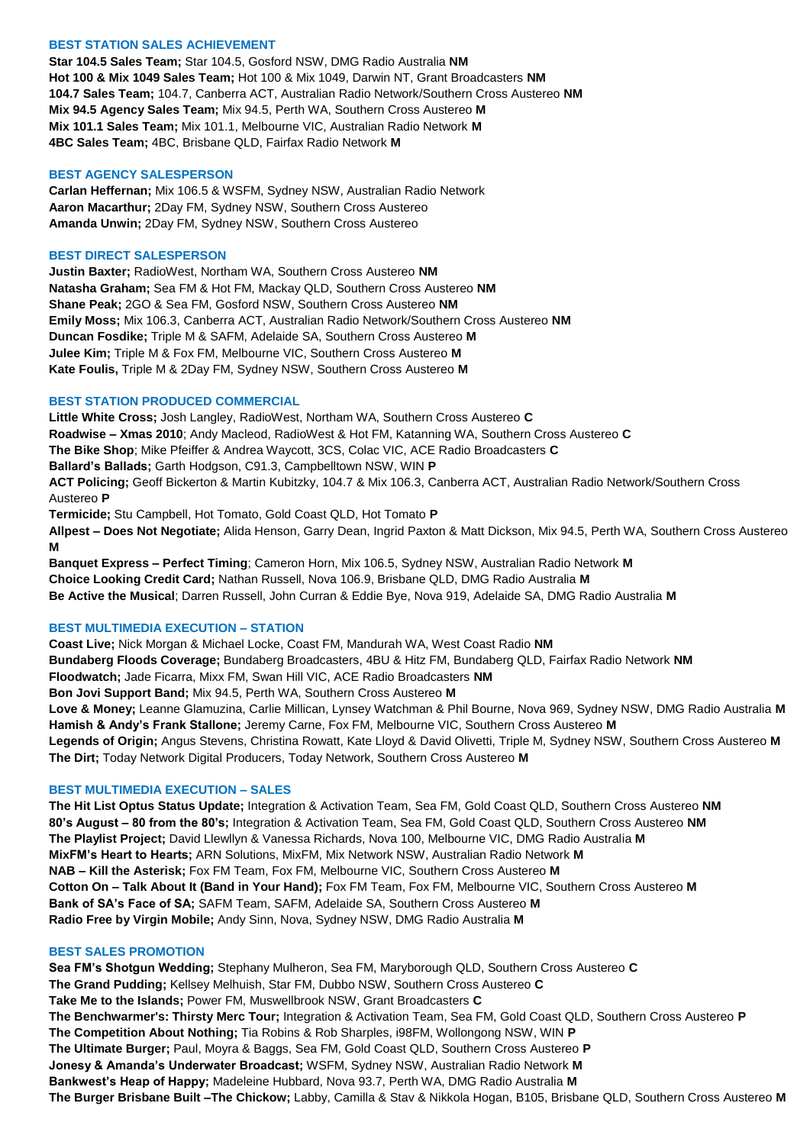# **BEST STATION SALES ACHIEVEMENT**

**Star 104.5 Sales Team;** Star 104.5, Gosford NSW, DMG Radio Australia **NM Hot 100 & Mix 1049 Sales Team;** Hot 100 & Mix 1049, Darwin NT, Grant Broadcasters **NM 104.7 Sales Team;** 104.7, Canberra ACT, Australian Radio Network/Southern Cross Austereo **NM Mix 94.5 Agency Sales Team;** Mix 94.5, Perth WA, Southern Cross Austereo **M Mix 101.1 Sales Team;** Mix 101.1, Melbourne VIC, Australian Radio Network **M 4BC Sales Team;** 4BC, Brisbane QLD, Fairfax Radio Network **M**

### **BEST AGENCY SALESPERSON**

**Carlan Heffernan;** Mix 106.5 & WSFM, Sydney NSW, Australian Radio Network **Aaron Macarthur;** 2Day FM, Sydney NSW, Southern Cross Austereo **Amanda Unwin;** 2Day FM, Sydney NSW, Southern Cross Austereo

### **BEST DIRECT SALESPERSON**

**Justin Baxter;** RadioWest, Northam WA, Southern Cross Austereo **NM Natasha Graham;** Sea FM & Hot FM, Mackay QLD, Southern Cross Austereo **NM Shane Peak;** 2GO & Sea FM, Gosford NSW, Southern Cross Austereo **NM Emily Moss;** Mix 106.3, Canberra ACT, Australian Radio Network/Southern Cross Austereo **NM Duncan Fosdike;** Triple M & SAFM, Adelaide SA, Southern Cross Austereo **M Julee Kim;** Triple M & Fox FM, Melbourne VIC, Southern Cross Austereo **M Kate Foulis,** Triple M & 2Day FM, Sydney NSW, Southern Cross Austereo **M**

### **BEST STATION PRODUCED COMMERCIAL**

**Little White Cross;** Josh Langley, RadioWest, Northam WA, Southern Cross Austereo **C Roadwise – Xmas 2010**; Andy Macleod, RadioWest & Hot FM, Katanning WA, Southern Cross Austereo **C The Bike Shop**; Mike Pfeiffer & Andrea Waycott, 3CS, Colac VIC, ACE Radio Broadcasters **C Ballard's Ballads;** Garth Hodgson, C91.3, Campbelltown NSW, WIN **P ACT Policing;** Geoff Bickerton & Martin Kubitzky, 104.7 & Mix 106.3, Canberra ACT, Australian Radio Network/Southern Cross Austereo **P Termicide;** Stu Campbell, Hot Tomato, Gold Coast QLD, Hot Tomato **P Allpest – Does Not Negotiate;** Alida Henson, Garry Dean, Ingrid Paxton & Matt Dickson, Mix 94.5, Perth WA, Southern Cross Austereo **M Banquet Express – Perfect Timing**; Cameron Horn, Mix 106.5, Sydney NSW, Australian Radio Network **M**

**Choice Looking Credit Card;** Nathan Russell, Nova 106.9, Brisbane QLD, DMG Radio Australia **M Be Active the Musical**; Darren Russell, John Curran & Eddie Bye, Nova 919, Adelaide SA, DMG Radio Australia **M**

### **BEST MULTIMEDIA EXECUTION – STATION**

**Coast Live;** Nick Morgan & Michael Locke, Coast FM, Mandurah WA, West Coast Radio **NM Bundaberg Floods Coverage;** Bundaberg Broadcasters, 4BU & Hitz FM, Bundaberg QLD, Fairfax Radio Network **NM Floodwatch;** Jade Ficarra, Mixx FM, Swan Hill VIC, ACE Radio Broadcasters **NM Bon Jovi Support Band;** Mix 94.5, Perth WA, Southern Cross Austereo **M Love & Money;** Leanne Glamuzina, Carlie Millican, Lynsey Watchman & Phil Bourne, Nova 969, Sydney NSW, DMG Radio Australia **M Hamish & Andy's Frank Stallone;** Jeremy Carne, Fox FM, Melbourne VIC, Southern Cross Austereo **M Legends of Origin;** Angus Stevens, Christina Rowatt, Kate Lloyd & David Olivetti, Triple M, Sydney NSW, Southern Cross Austereo **M The Dirt;** Today Network Digital Producers, Today Network, Southern Cross Austereo **M**

### **BEST MULTIMEDIA EXECUTION – SALES**

**The Hit List Optus Status Update;** Integration & Activation Team, Sea FM, Gold Coast QLD, Southern Cross Austereo **NM 80's August – 80 from the 80's;** Integration & Activation Team, Sea FM, Gold Coast QLD, Southern Cross Austereo **NM The Playlist Project;** David Llewllyn & Vanessa Richards, Nova 100, Melbourne VIC, DMG Radio Australia **M MixFM's Heart to Hearts;** ARN Solutions, MixFM, Mix Network NSW, Australian Radio Network **M NAB – Kill the Asterisk;** Fox FM Team, Fox FM, Melbourne VIC, Southern Cross Austereo **M Cotton On – Talk About It (Band in Your Hand);** Fox FM Team, Fox FM, Melbourne VIC, Southern Cross Austereo **M Bank of SA's Face of SA;** SAFM Team, SAFM, Adelaide SA, Southern Cross Austereo **M Radio Free by Virgin Mobile;** Andy Sinn, Nova, Sydney NSW, DMG Radio Australia **M**

## **BEST SALES PROMOTION**

**Sea FM's Shotgun Wedding;** Stephany Mulheron, Sea FM, Maryborough QLD, Southern Cross Austereo **C The Grand Pudding;** Kellsey Melhuish, Star FM, Dubbo NSW, Southern Cross Austereo **C Take Me to the Islands;** Power FM, Muswellbrook NSW, Grant Broadcasters **C The Benchwarmer's: Thirsty Merc Tour;** Integration & Activation Team, Sea FM, Gold Coast QLD, Southern Cross Austereo **P The Competition About Nothing;** Tia Robins & Rob Sharples, i98FM, Wollongong NSW, WIN **P The Ultimate Burger;** Paul, Moyra & Baggs, Sea FM, Gold Coast QLD, Southern Cross Austereo **P Jonesy & Amanda's Underwater Broadcast;** WSFM, Sydney NSW, Australian Radio Network **M Bankwest's Heap of Happy;** Madeleine Hubbard, Nova 93.7, Perth WA, DMG Radio Australia **M The Burger Brisbane Built –The Chickow;** Labby, Camilla & Stav & Nikkola Hogan, B105, Brisbane QLD, Southern Cross Austereo **M**